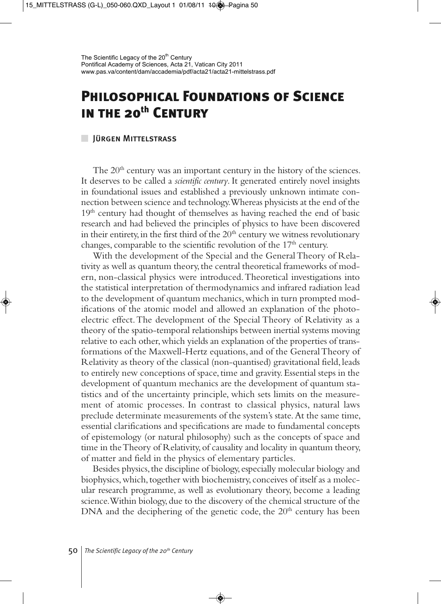## **Philosophical Foundations of Science in the 20th Century**

## Jürgen Mittelstrass

The  $20<sup>th</sup>$  century was an important century in the history of the sciences. It deserves to be called a *scientific century*. It generated entirely novel insights in foundational issues and established a previously unknown intimate connection between science and technology. Whereas physicists at the end of the  $19<sup>th</sup>$  century had thought of themselves as having reached the end of basic research and had believed the principles of physics to have been discovered in their entirety, in the first third of the  $20<sup>th</sup>$  century we witness revolutionary changes, comparable to the scientific revolution of the  $17<sup>th</sup>$  century.

With the development of the Special and the General Theory of Relativity as well as quantum theory, the central theoretical frameworks of modern, non-classical physics were introduced. Theoretical investigations into the statistical interpretation of thermodynamics and infrared radiation lead to the development of quantum mechanics, which in turn prompted modifications of the atomic model and allowed an explanation of the photoelectric effect. The development of the Special Theory of Relativity as a theory of the spatio-temporal relationships between inertial systems moving relative to each other, which yields an explanation of the properties of transformations of the Maxwell-Hertz equations, and of the General Theory of Relativity as theory of the classical (non-quantised) gravitational field, leads to entirely new conceptions of space, time and gravity. Essential steps in the development of quantum mechanics are the development of quantum statistics and of the uncertainty principle, which sets limits on the measurement of atomic processes. In contrast to classical physics, natural laws preclude determinate measurements of the system's state. At the same time, essential clarifications and specifications are made to fundamental concepts of epistemology (or natural philosophy) such as the concepts of space and time in the Theory of Relativity, of causality and locality in quantum theory, of matter and field in the physics of elementary particles.

Besides physics, the discipline of biology, especially molecular biology and biophysics, which, together with biochemistry, conceives of itself as a molecular research programme, as well as evolutionary theory, become a leading science. Within biology, due to the discovery of the chemical structure of the DNA and the deciphering of the genetic code, the  $20<sup>th</sup>$  century has been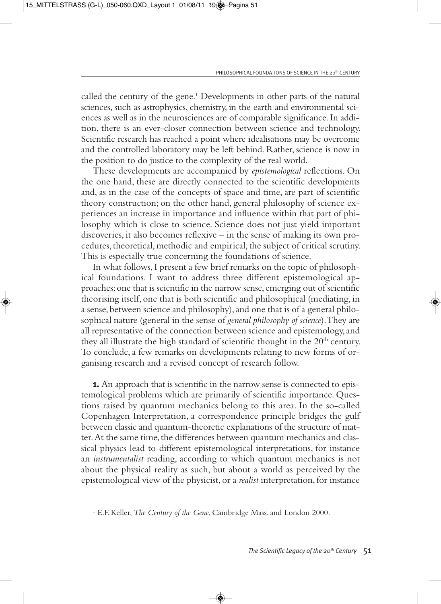called the century of the gene.<sup>1</sup> Developments in other parts of the natural sciences, such as astrophysics, chemistry, in the earth and environmental sciences as well as in the neurosciences are of comparable significance. In addition, there is an ever-closer connection between science and technology. Scientific research has reached a point where idealisations may be overcome and the controlled laboratory may be left behind. Rather, science is now in the position to do justice to the complexity of the real world.

These developments are accompanied by *epistemological* reflections. On the one hand, these are directly connected to the scientific developments and, as in the case of the concepts of space and time, are part of scientific theory construction; on the other hand, general philosophy of science experiences an increase in importance and influence within that part of philosophy which is close to science. Science does not just yield important discoveries, it also becomes reflexive – in the sense of making its own procedures, theoretical, methodic and empirical, the subject of critical scrutiny. This is especially true concerning the foundations of science.

In what follows, I present a few brief remarks on the topic of philosophical foundations. I want to address three different epistemological approaches: one that is scientific in the narrow sense, emerging out of scientific theorising itself, one that is both scientific and philosophical (mediating, in a sense, between science and philosophy), and one that is of a general philosophical nature (general in the sense of *general philosophy of science*). They are all representative of the connection between science and epistemology, and they all illustrate the high standard of scientific thought in the  $20<sup>th</sup>$  century. To conclude, a few remarks on developments relating to new forms of organising research and a revised concept of research follow.

**1.** An approach that is scientific in the narrow sense is connected to epistemological problems which are primarily of scientific importance. Questions raised by quantum mechanics belong to this area. In the so-called Copenhagen Interpretation, a correspondence principle bridges the gulf between classic and quantum-theoretic explanations of the structure of matter. At the same time, the differences between quantum mechanics and classical physics lead to different epistemological interpretations, for instance an *instrumentalist* reading, according to which quantum mechanics is not about the physical reality as such, but about a world as perceived by the epistemological view of the physicist, or a *realist* interpretation, for instance

<sup>1</sup> E.F. Keller, *The Century of the Gene*, Cambridge Mass. and London 2000.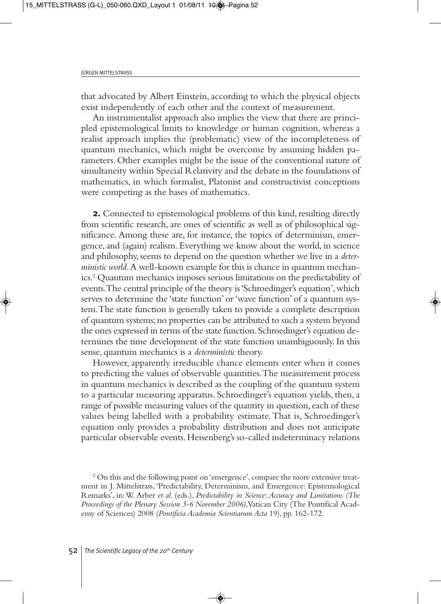that advocated by Albert Einstein, according to which the physical objects exist independently of each other and the context of measurement.

An instrumentalist approach also implies the view that there are principled epistemological limits to knowledge or human cognition, whereas a realist approach implies the (problematic) view of the incompleteness of quantum mechanics, which might be overcome by assuming hidden parameters. Other examples might be the issue of the conventional nature of simultaneity within Special Relativity and the debate in the foundations of mathematics, in which formalist, Platonist and constructivist conceptions were competing as the bases of mathematics.

**2.** Connected to epistemological problems of this kind, resulting directly from scientific research, are ones of scientific as well as of philosophical significance. Among these are, for instance, the topics of determinism, emergence, and (again) realism. Everything we know about the world, in science and philosophy, seems to depend on the question whether we live in a *deterministic world*. A well-known example for this is chance in quantum mechanics.2 Quantum mechanics imposes serious limitations on the predictability of events. The central principle of the theory is 'Schroedinger's equation', which serves to determine the 'state function' or 'wave function' of a quantum system. The state function is generally taken to provide a complete description of quantum systems; no properties can be attributed to such a system beyond the ones expressed in terms of the state function. Schroedinger's equation determines the time development of the state function unambiguously. In this sense, quantum mechanics is a *deterministic* theory.

However, apparently irreducible chance elements enter when it comes to predicting the values of observable quantities. The measurement process in quantum mechanics is described as the coupling of the quantum system to a particular measuring apparatus. Schroedinger's equation yields, then, a range of possible measuring values of the quantity in question, each of these values being labelled with a probability estimate. That is, Schroedinger's equation only provides a probability distribution and does not anticipate particular observable events. Heisenberg's so-called indeterminacy relations

<sup>&</sup>lt;sup>2</sup> On this and the following point on 'emergence', compare the more extensive treatment in J. Mittelstrass, 'Predictability, Determinism, and Emergence: Epistemological Remarks', in: W. Arber *et al*. (eds.), *Predictability in Science: Accuracy and Limitations (The Proceedings of the Plenary Session 3-6 November 2006)*, Vatican City (The Pontifical Academy of Sciences) 2008 (*Pontificia Academia Scientiarum Acta* 19), pp. 162-172.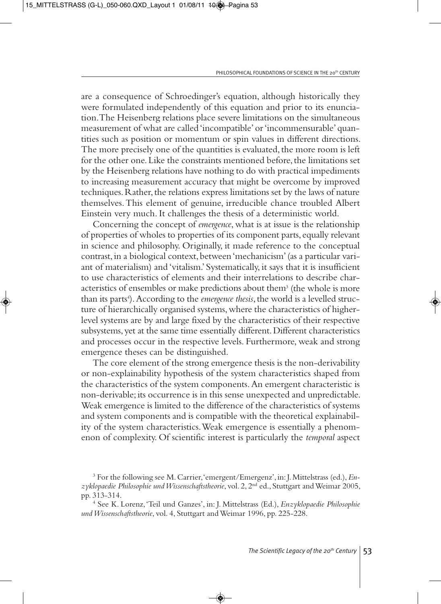are a consequence of Schroedinger's equation, although historically they were formulated independently of this equation and prior to its enunciation. The Heisenberg relations place severe limitations on the simultaneous measurement of what are called 'incompatible' or 'incommensurable' quantities such as position or momentum or spin values in different directions. The more precisely one of the quantities is evaluated, the more room is left for the other one. Like the constraints mentioned before, the limitations set by the Heisenberg relations have nothing to do with practical impediments to increasing measurement accuracy that might be overcome by improved techniques. Rather, the relations express limitations set by the laws of nature themselves. This element of genuine, irreducible chance troubled Albert Einstein very much. It challenges the thesis of a deterministic world.

Concerning the concept of *emergence*, what is at issue is the relationship of properties of wholes to properties of its component parts, equally relevant in science and philosophy. Originally, it made reference to the conceptual contrast, in a biological context, between 'mechanicism' (as a particular variant of materialism) and 'vitalism.' Systematically, it says that it is insufficient to use characteristics of elements and their interrelations to describe characteristics of ensembles or make predictions about them3 (the whole is more than its parts<sup>4</sup>). According to the *emergence thesis*, the world is a levelled structure of hierarchically organised systems, where the characteristics of higherlevel systems are by and large fixed by the characteristics of their respective subsystems, yet at the same time essentially different. Different characteristics and processes occur in the respective levels. Furthermore, weak and strong emergence theses can be distinguished.

The core element of the strong emergence thesis is the non-derivability or non-explainability hypothesis of the system characteristics shaped from the characteristics of the system components. An emergent characteristic is non-derivable; its occurrence is in this sense unexpected and unpredictable. Weak emergence is limited to the difference of the characteristics of systems and system components and is compatible with the theoretical explainability of the system characteristics. Weak emergence is essentially a phenomenon of complexity. Of scientific interest is particularly the *temporal* aspect

<sup>3</sup> For the following see M. Carrier, 'emergent/Emergenz', in: J. Mittelstrass (ed.), *Enzyklopaedie Philosophie und Wissenschaftstheorie*, vol. 2, 2<sup>nd</sup> ed., Stuttgart and Weimar 2005, pp. 313-314.

<sup>&</sup>lt;sup>4</sup> See K. Lorenz, 'Teil und Ganzes', in: J. Mittelstrass (Ed.), *Enzyklopaedie Philosophie und Wissenschaftstheorie*, vol. 4, Stuttgart and Weimar 1996, pp. 225-228.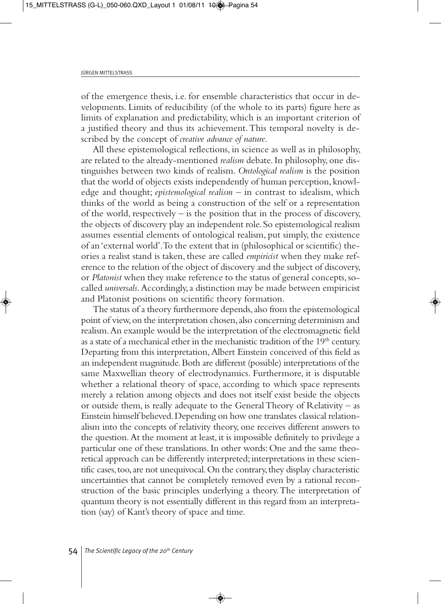of the emergence thesis, i.e. for ensemble characteristics that occur in developments. Limits of reducibility (of the whole to its parts) figure here as limits of explanation and predictability, which is an important criterion of a justified theory and thus its achievement. This temporal novelty is described by the concept of *creative advance of nature*.

All these epistemological reflections, in science as well as in philosophy, are related to the already-mentioned *realism* debate. In philosophy, one distinguishes between two kinds of realism. *Ontological realism* is the position that the world of objects exists independently of human perception, knowledge and thought; *epistemological realism* – in contrast to idealism, which thinks of the world as being a construction of the self or a representation of the world, respectively  $-$  is the position that in the process of discovery, the objects of discovery play an independent role. So epistemological realism assumes essential elements of ontological realism, put simply, the existence of an 'external world'. To the extent that in (philosophical or scientific) theories a realist stand is taken, these are called *empiricist* when they make reference to the relation of the object of discovery and the subject of discovery, or *Platonist* when they make reference to the status of general concepts, socalled *universals*. Accordingly, a distinction may be made between empiricist and Platonist positions on scientific theory formation.

The status of a theory furthermore depends, also from the epistemological point of view, on the interpretation chosen, also concerning determinism and realism. An example would be the interpretation of the electromagnetic field as a state of a mechanical ether in the mechanistic tradition of the  $19<sup>th</sup>$  century. Departing from this interpretation, Albert Einstein conceived of this field as an independent magnitude. Both are different (possible) interpretations of the same Maxwellian theory of electrodynamics. Furthermore, it is disputable whether a relational theory of space, according to which space represents merely a relation among objects and does not itself exist beside the objects or outside them, is really adequate to the General Theory of Relativity – as Einstein himself believed. Depending on how one translates classical relationalism into the concepts of relativity theory, one receives different answers to the question. At the moment at least, it is impossible definitely to privilege a particular one of these translations. In other words: One and the same theoretical approach can be differently interpreted; interpretations in these scientific cases, too, are not unequivocal. On the contrary, they display characteristic uncertainties that cannot be completely removed even by a rational reconstruction of the basic principles underlying a theory. The interpretation of quantum theory is not essentially different in this regard from an interpretation (say) of Kant's theory of space and time.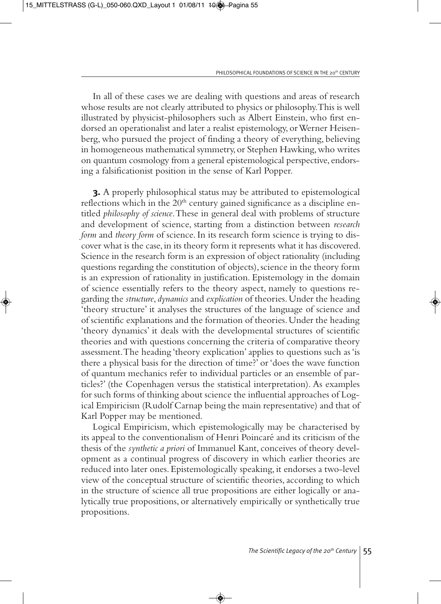In all of these cases we are dealing with questions and areas of research whose results are not clearly attributed to physics or philosophy. This is well illustrated by physicist-philosophers such as Albert Einstein, who first endorsed an operationalist and later a realist epistemology, or Werner Heisenberg, who pursued the project of finding a theory of everything, believing in homogeneous mathematical symmetry, or Stephen Hawking, who writes on quantum cosmology from a general epistemological perspective, endorsing a falsificationist position in the sense of Karl Popper.

**3.** A properly philosophical status may be attributed to epistemological reflections which in the 20<sup>th</sup> century gained significance as a discipline entitled *philosophy of science*. These in general deal with problems of structure and development of science, starting from a distinction between *research form* and *theory form* of science. In its research form science is trying to discover what is the case, in its theory form it represents what it has discovered. Science in the research form is an expression of object rationality (including questions regarding the constitution of objects), science in the theory form is an expression of rationality in justification. Epistemology in the domain of science essentially refers to the theory aspect, namely to questions regarding the *structure*, *dynamics* and *explication* of theories. Under the heading 'theory structure' it analyses the structures of the language of science and of scientific explanations and the formation of theories. Under the heading 'theory dynamics' it deals with the developmental structures of scientific theories and with questions concerning the criteria of comparative theory assessment. The heading 'theory explication' applies to questions such as 'is there a physical basis for the direction of time?' or 'does the wave function of quantum mechanics refer to individual particles or an ensemble of particles?' (the Copenhagen versus the statistical interpretation). As examples for such forms of thinking about science the influential approaches of Logical Empiricism (Rudolf Carnap being the main representative) and that of Karl Popper may be mentioned.

Logical Empiricism, which epistemologically may be characterised by its appeal to the conventionalism of Henri Poincaré and its criticism of the thesis of the *synthetic a priori* of Immanuel Kant, conceives of theory development as a continual progress of discovery in which earlier theories are reduced into later ones. Epistemologically speaking, it endorses a two-level view of the conceptual structure of scientific theories, according to which in the structure of science all true propositions are either logically or analytically true propositions, or alternatively empirically or synthetically true propositions.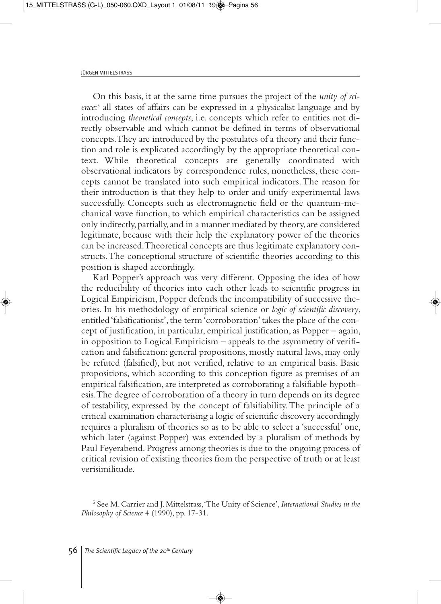On this basis, it at the same time pursues the project of the *unity of science*: <sup>5</sup> all states of affairs can be expressed in a physicalist language and by introducing *theoretical concepts*, i.e. concepts which refer to entities not directly observable and which cannot be defined in terms of observational concepts. They are introduced by the postulates of a theory and their function and role is explicated accordingly by the appropriate theoretical context. While theoretical concepts are generally coordinated with observational indicators by correspondence rules, nonetheless, these concepts cannot be translated into such empirical indicators. The reason for their introduction is that they help to order and unify experimental laws successfully. Concepts such as electromagnetic field or the quantum-mechanical wave function, to which empirical characteristics can be assigned only indirectly, partially, and in a manner mediated by theory, are considered legitimate, because with their help the explanatory power of the theories can be increased. Theoretical concepts are thus legitimate explanatory constructs. The conceptional structure of scientific theories according to this position is shaped accordingly.

Karl Popper's approach was very different. Opposing the idea of how the reducibility of theories into each other leads to scientific progress in Logical Empiricism, Popper defends the incompatibility of successive theories. In his methodology of empirical science or *logic of scientific discovery*, entitled 'falsificationist', the term 'corroboration' takes the place of the concept of justification, in particular, empirical justification, as Popper – again, in opposition to Logical Empiricism – appeals to the asymmetry of verification and falsification: general propositions, mostly natural laws, may only be refuted (falsified), but not verified, relative to an empirical basis. Basic propositions, which according to this conception figure as premises of an empirical falsification, are interpreted as corroborating a falsifiable hypothesis. The degree of corroboration of a theory in turn depends on its degree of testability, expressed by the concept of falsifiability. The principle of a critical examination characterising a logic of scientific discovery accordingly requires a pluralism of theories so as to be able to select a 'successful' one, which later (against Popper) was extended by a pluralism of methods by Paul Feyerabend. Progress among theories is due to the ongoing process of critical revision of existing theories from the perspective of truth or at least verisimilitude.

<sup>5</sup> See M. Carrier and J. Mittelstrass, 'The Unity of Science', *International Studies in the Philosophy of Science* 4 (1990), pp. 17-31.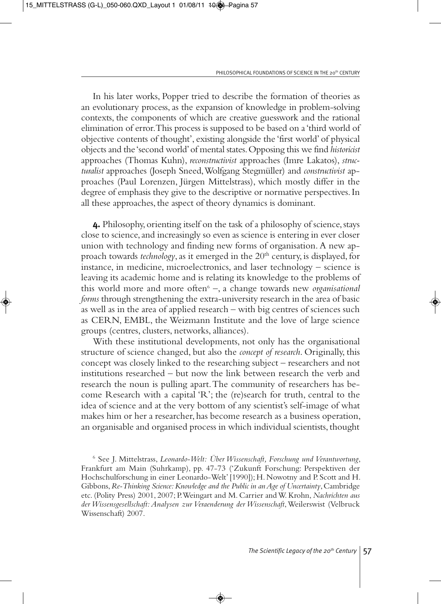In his later works, Popper tried to describe the formation of theories as an evolutionary process, as the expansion of knowledge in problem-solving contexts, the components of which are creative guesswork and the rational elimination of error. This process is supposed to be based on a 'third world of objective contents of thought', existing alongside the 'first world' of physical objects and the 'second world' of mental states. Opposing this we find *historicist* approaches (Thomas Kuhn), *reconstructivist* approaches (Imre Lakatos), *structuralist* approaches (Joseph Sneed, Wolfgang Stegmüller) and *constructivist* approaches (Paul Lorenzen, Jürgen Mittelstrass), which mostly differ in the degree of emphasis they give to the descriptive or normative perspectives. In all these approaches, the aspect of theory dynamics is dominant.

**4.** Philosophy, orienting itself on the task of a philosophy of science, stays close to science, and increasingly so even as science is entering in ever closer union with technology and finding new forms of organisation. A new approach towards *technology*, as it emerged in the 20<sup>th</sup> century, is displayed, for instance, in medicine, microelectronics, and laser technology – science is leaving its academic home and is relating its knowledge to the problems of this world more and more often<sup>6</sup> –, a change towards new *organisational forms* through strengthening the extra-university research in the area of basic as well as in the area of applied research – with big centres of sciences such as CERN, EMBL, the Weizmann Institute and the love of large science groups (centres, clusters, networks, alliances).

With these institutional developments, not only has the organisational structure of science changed, but also the *concept of research*. Originally, this concept was closely linked to the researching subject – researchers and not institutions researched – but now the link between research the verb and research the noun is pulling apart. The community of researchers has become Research with a capital 'R'; the (re)search for truth, central to the idea of science and at the very bottom of any scientist's self-image of what makes him or her a researcher, has become research as a business operation, an organisable and organised process in which individual scientists, thought

<sup>6</sup> See J. Mittelstrass, *Leonardo-Welt: Über Wissenschaft, Forschung und Verantwortung*, Frankfurt am Main (Suhrkamp), pp. 47-73 ('Zukunft Forschung: Perspektiven der Hochschulforschung in einer Leonardo-Welt' [1990]); H. Nowotny and P. Scott and H. Gibbons, *Re-Thinking Science: Knowledge and the Public in an Age of Uncertainty*, Cambridge etc. (Polity Press) 2001, 2007; P. Weingart and M. Carrier and W. Krohn, *Nachrichten aus der Wissensgesellschaft: Analysen zur Veraenderung der Wissenschaft*, Weilerswist (Velbruck Wissenschaft) 2007.